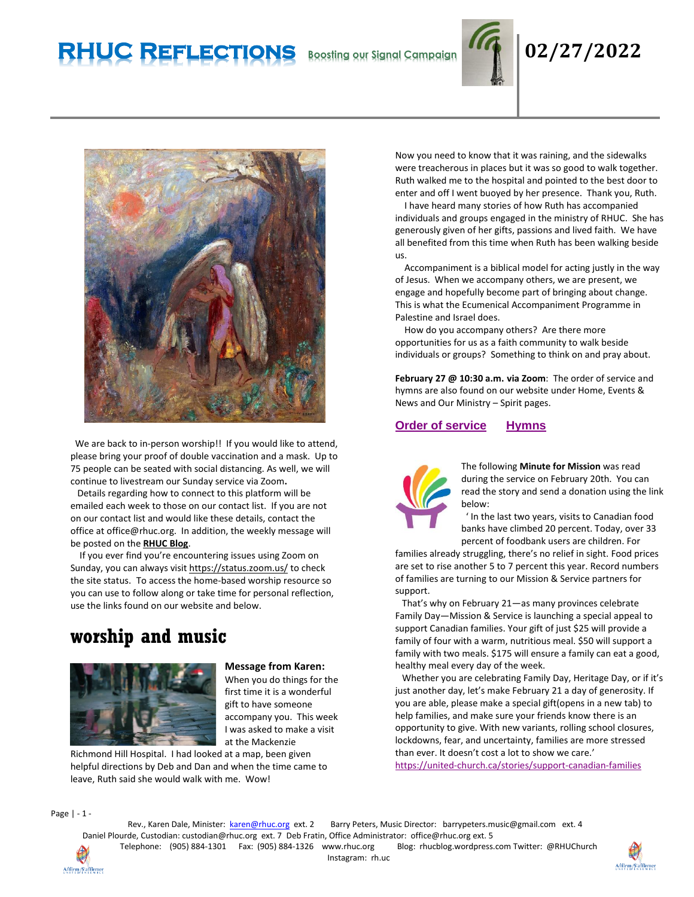# **RHUC Reflections Boosting our Signal Campaign 02/27/2022**





We are back to in-person worship!! If you would like to attend, please bring your proof of double vaccination and a mask. Up to 75 people can be seated with social distancing. As well, we will continue to livestream our Sunday service via Zoom**.** 

 Details regarding how to connect to this platform will be emailed each week to those on our contact list. If you are not on our contact list and would like these details, contact the office at office@rhuc.org. In addition, the weekly message will be posted on the **[RHUC Blog](https://rhucblog.wordpress.com/)**.

 If you ever find you're encountering issues using Zoom on Sunday, you can always visi[t https://status.zoom.us/](https://status.zoom.us/) to check the site status. To access the home-based worship resource so you can use to follow along or take time for personal reflection, use the links found on our website and below.

## **worship and music**



**Message from Karen:**  When you do things for the first time it is a wonderful gift to have someone accompany you. This week I was asked to make a visit at the Mackenzie

Richmond Hill Hospital. I had looked at a map, been given helpful directions by Deb and Dan and when the time came to leave, Ruth said she would walk with me. Wow!

Now you need to know that it was raining, and the sidewalks were treacherous in places but it was so good to walk together. Ruth walked me to the hospital and pointed to the best door to enter and off I went buoyed by her presence. Thank you, Ruth.

 I have heard many stories of how Ruth has accompanied individuals and groups engaged in the ministry of RHUC. She has generously given of her gifts, passions and lived faith. We have all benefited from this time when Ruth has been walking beside us.

 Accompaniment is a biblical model for acting justly in the way of Jesus. When we accompany others, we are present, we engage and hopefully become part of bringing about change. This is what the Ecumenical Accompaniment Programme in Palestine and Israel does.

 How do you accompany others? Are there more opportunities for us as a faith community to walk beside individuals or groups? Something to think on and pray about.

**February 27 @ 10:30 a.m. via Zoom**: The order of service and hymns are also found on our website under Home, Events & News and Our Ministry – Spirit pages.

### **Order of [service](http://rhuc.org/February%2028%20OofS%20(1)-1.pdf) [Hymns](http://rhuc.org/Hymns%20for%202022%2002%2027.pdf)**



The following **Minute for Mission** was read during the service on February 20th. You can read the story and send a donation using the link below:

 ' In the last two years, visits to Canadian food banks have climbed 20 percent. Today, over 33 percent of foodbank users are children. For

families already struggling, there's no relief in sight. Food prices are set to rise another 5 to 7 percent this year. Record numbers of families are turning to our Mission & Service partners for support.

 That's why on February 21—as many provinces celebrate Family Day—Mission & Service is launching a special appeal to support Canadian families. Your gift of just \$25 will provide a family of four with a warm, nutritious meal. \$50 will support a family with two meals. \$175 will ensure a family can eat a good, healthy meal every day of the week.

 Whether you are celebrating Family Day, Heritage Day, or if it's just another day, let's make February 21 a day of generosity. If you are able, please make a special gift(opens in a new tab) to help families, and make sure your friends know there is an opportunity to give. With new variants, rolling school closures, lockdowns, fear, and uncertainty, families are more stressed than ever. It doesn't cost a lot to show we care.'

<https://united-church.ca/stories/support-canadian-families>

Page | - 1 -

Rev., Karen Dale, Minister: [karen@rhuc.org](mailto:karen@rhuc.org) ext. 2 Barry Peters, Music Director: barrypeters.music@gmail.com ext. 4 Daniel Plourde, Custodian: [custodian@rhuc.org](mailto:custodian@rhuc.org) ext. 7 Deb Fratin, Office Administrator: [office@rhuc.org](mailto:office@rhuc.org) ext. 5 Telephone: (905) 884-1301 Fax: (905) 884-1326 [www.rhuc.org](http://www.rhuc.org/) Blog: rhucblog.wordpress.com Twitter: @RHUChurch Instagram: rh.uc

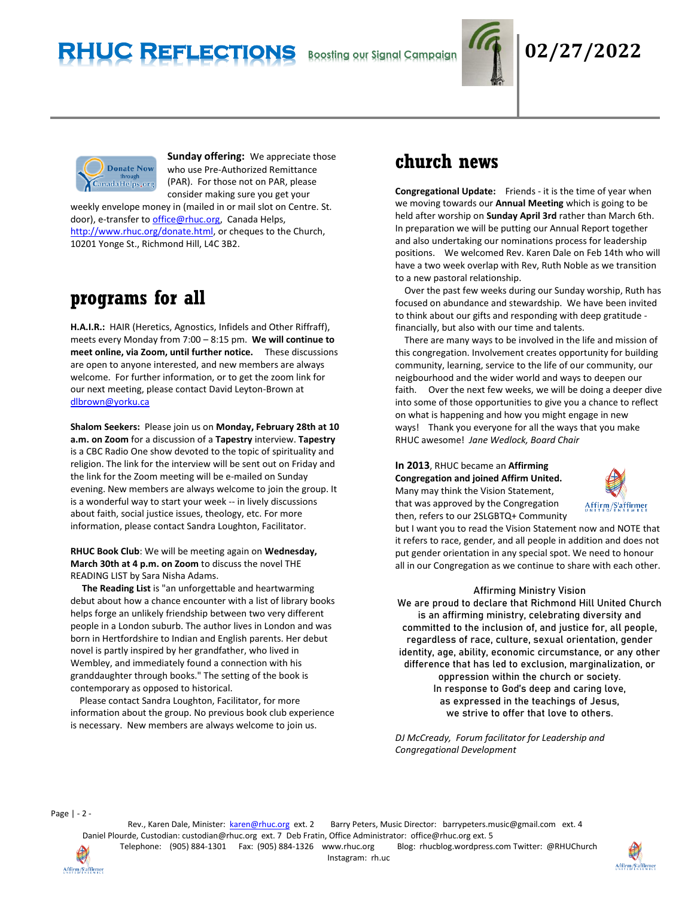

## **RHUC Reflections Boosting our Signal Campaign 02/27/2022**



**Sunday offering:** We appreciate those who use Pre-Authorized Remittance (PAR). For those not on PAR, please consider making sure you get your

weekly envelope money in (mailed in or mail slot on Centre. St. door), e-transfer t[o office@rhuc.org,](mailto:office@rhuc.org) Canada Helps, [http://www.rhuc.org/donate.html,](http://www.rhuc.org/donate.html) or cheques to the Church, 10201 Yonge St., Richmond Hill, L4C 3B2.

## **programs for all**

**H.A.I.R.:** HAIR (Heretics, Agnostics, Infidels and Other Riffraff), meets every Monday from 7:00 – 8:15 pm. **We will continue to meet online, via Zoom, until further notice.** These discussions are open to anyone interested, and new members are always welcome. For further information, or to get the zoom link for our next meeting, please contact David Leyton-Brown at [dlbrown@yorku.ca](mailto:dlbrown@yorku.ca)

**Shalom Seekers:** Please join us on **Monday, February 28th at 10 a.m. on Zoom** for a discussion of a **Tapestry** interview. **Tapestry**  is a CBC Radio One show devoted to the topic of spirituality and religion. The link for the interview will be sent out on Friday and the link for the Zoom meeting will be e-mailed on Sunday evening. New members are always welcome to join the group. It is a wonderful way to start your week -- in lively discussions about faith, social justice issues, theology, etc. For more information, please contact Sandra Loughton, Facilitator.

### **RHUC Book Club**: We will be meeting again on **Wednesday, March 30th at 4 p.m. on Zoom** to discuss the novel THE READING LIST by Sara Nisha Adams.

 **The Reading List** is "an unforgettable and heartwarming debut about how a chance encounter with a list of library books helps forge an unlikely friendship between two very different people in a London suburb. The author lives in London and was born in Hertfordshire to Indian and English parents. Her debut novel is partly inspired by her grandfather, who lived in Wembley, and immediately found a connection with his granddaughter through books." The setting of the book is contemporary as opposed to historical.

 Please contact Sandra Loughton, Facilitator, for more information about the group. No previous book club experience is necessary. New members are always welcome to join us.

## **church news**

**Congregational Update:** Friends - it is the time of year when we moving towards our **Annual Meeting** which is going to be held after worship on **Sunday April 3rd** rather than March 6th. In preparation we will be putting our Annual Report together and also undertaking our nominations process for leadership positions. We welcomed Rev. Karen Dale on Feb 14th who will have a two week overlap with Rev, Ruth Noble as we transition to a new pastoral relationship.

 Over the past few weeks during our Sunday worship, Ruth has focused on abundance and stewardship. We have been invited to think about our gifts and responding with deep gratitude financially, but also with our time and talents.

 There are many ways to be involved in the life and mission of this congregation. Involvement creates opportunity for building community, learning, service to the life of our community, our neigbourhood and the wider world and ways to deepen our faith. Over the next few weeks, we will be doing a deeper dive into some of those opportunities to give you a chance to reflect on what is happening and how you might engage in new ways! Thank you everyone for all the ways that you make RHUC awesome! *Jane Wedlock, Board Chair*

### **In 2013**, RHUC became an **Affirming Congregation and joined Affirm United.** Many may think the Vision Statement, that was approved by the Congregation then, refers to our 2SLGBTQ+ Community



but I want you to read the Vision Statement now and NOTE that it refers to race, gender, and all people in addition and does not put gender orientation in any special spot. We need to honour all in our Congregation as we continue to share with each other.

### Affirming Ministry Vision

We are proud to declare that Richmond Hill United Church is an affirming ministry, celebrating diversity and committed to the inclusion of, and justice for, all people, regardless of race, culture, sexual orientation, gender identity, age, ability, economic circumstance, or any other difference that has led to exclusion, marginalization, or oppression within the church or society. In response to God's deep and caring love, as expressed in the teachings of Jesus, we strive to offer that love to others.

*DJ McCready, Forum facilitator for Leadership and Congregational Development*

Page | - 2 -

Affirm/Saffirmer

Rev., Karen Dale, Minister: [karen@rhuc.org](mailto:karen@rhuc.org) ext. 2 Barry Peters, Music Director: barrypeters.music@gmail.com ext. 4 Daniel Plourde, Custodian: [custodian@rhuc.org](mailto:custodian@rhuc.org) ext. 7 Deb Fratin, Office Administrator: [office@rhuc.org](mailto:office@rhuc.org) ext. 5 Telephone: (905) 884-1301 Fax: (905) 884-1326 [www.rhuc.org](http://www.rhuc.org/) Blog: rhucblog.wordpress.com Twitter: @RHUChurch Instagram: rh.uc